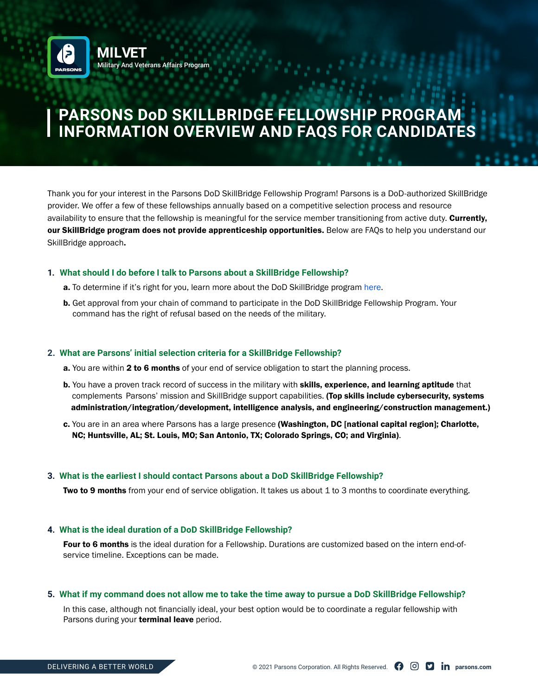

# **PARSONS DoD SKILLBRIDGE FELLOWSHIP PROGRAM INFORMATION OVERVIEW AND FAQS FOR CANDIDATES**

Thank you for your interest in the Parsons DoD SkillBridge Fellowship Program! Parsons is a DoD-authorized SkillBridge provider. We offer a few of these fellowships annually based on a competitive selection process and resource availability to ensure that the fellowship is meaningful for the service member transitioning from active duty. Currently, our SkillBridge program does not provide apprenticeship opportunities. Below are FAQs to help you understand our SkillBridge approach.

## **1. What should I do before I talk to Parsons about a SkillBridge Fellowship?**

- **a.** To determine if it's right for you, learn more about the DoD SkillBridge program [here.](https://dodskillbridge.usalearning.gov/military-members.htm)
- **b.** Get approval from your chain of command to participate in the DoD SkillBridge Fellowship Program. Your command has the right of refusal based on the needs of the military.

## **2. What are Parsons' initial selection criteria for a SkillBridge Fellowship?**

- a. You are within 2 to 6 months of your end of service obligation to start the planning process.
- b. You have a proven track record of success in the military with skills, experience, and learning aptitude that complements Parsons' mission and SkillBridge support capabilities. (Top skills include cybersecurity, systems administration/integration/development, intelligence analysis, and engineering/construction management.)
- c. You are in an area where Parsons has a large presence (Washington, DC [national capital region]; Charlotte, NC; Huntsville, AL; St. Louis, MO; San Antonio, TX; Colorado Springs, CO; and Virginia).

## **3. What is the earliest I should contact Parsons about a DoD SkillBridge Fellowship?**

Two to 9 months from your end of service obligation. It takes us about 1 to 3 months to coordinate everything.

## **4. What is the ideal duration of a DoD SkillBridge Fellowship?**

Four to 6 months is the ideal duration for a Fellowship. Durations are customized based on the intern end-ofservice timeline. Exceptions can be made.

## **5. What if my command does not allow me to take the time away to pursue a DoD SkillBridge Fellowship?**

In this case, although not financially ideal, your best option would be to coordinate a regular fellowship with Parsons during your **terminal leave** period.